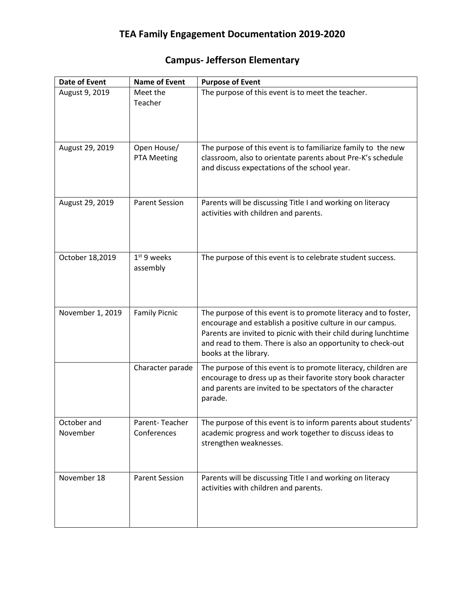## **Campus- Jefferson Elementary**

| <b>Date of Event</b>    | <b>Name of Event</b>          | <b>Purpose of Event</b>                                                                                                                                                                                                                                                                 |  |  |
|-------------------------|-------------------------------|-----------------------------------------------------------------------------------------------------------------------------------------------------------------------------------------------------------------------------------------------------------------------------------------|--|--|
| August 9, 2019          | Meet the<br>Teacher           | The purpose of this event is to meet the teacher.                                                                                                                                                                                                                                       |  |  |
| August 29, 2019         | Open House/<br>PTA Meeting    | The purpose of this event is to familiarize family to the new<br>classroom, also to orientate parents about Pre-K's schedule<br>and discuss expectations of the school year.                                                                                                            |  |  |
| August 29, 2019         | <b>Parent Session</b>         | Parents will be discussing Title I and working on literacy<br>activities with children and parents.                                                                                                                                                                                     |  |  |
| October 18,2019         | $1st$ 9 weeks<br>assembly     | The purpose of this event is to celebrate student success.                                                                                                                                                                                                                              |  |  |
| November 1, 2019        | <b>Family Picnic</b>          | The purpose of this event is to promote literacy and to foster,<br>encourage and establish a positive culture in our campus.<br>Parents are invited to picnic with their child during lunchtime<br>and read to them. There is also an opportunity to check-out<br>books at the library. |  |  |
|                         | Character parade              | The purpose of this event is to promote literacy, children are<br>encourage to dress up as their favorite story book character<br>and parents are invited to be spectators of the character<br>parade.                                                                                  |  |  |
| October and<br>November | Parent-Teacher<br>Conferences | The purpose of this event is to inform parents about students'<br>academic progress and work together to discuss ideas to<br>strengthen weaknesses.                                                                                                                                     |  |  |
| November 18             | <b>Parent Session</b>         | Parents will be discussing Title I and working on literacy<br>activities with children and parents.                                                                                                                                                                                     |  |  |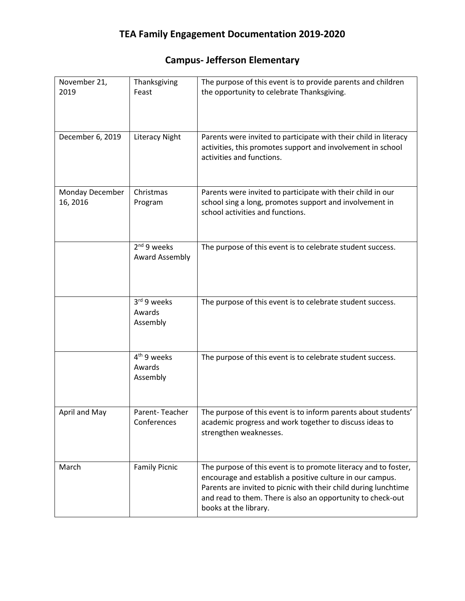## **Campus- Jefferson Elementary**

| November 21,<br>2019        | Thanksgiving<br>Feast                         | The purpose of this event is to provide parents and children<br>the opportunity to celebrate Thanksgiving.                                                                                                                                                                              |  |  |
|-----------------------------|-----------------------------------------------|-----------------------------------------------------------------------------------------------------------------------------------------------------------------------------------------------------------------------------------------------------------------------------------------|--|--|
| December 6, 2019            | <b>Literacy Night</b>                         | Parents were invited to participate with their child in literacy<br>activities, this promotes support and involvement in school<br>activities and functions.                                                                                                                            |  |  |
| Monday December<br>16, 2016 | Christmas<br>Program                          | Parents were invited to participate with their child in our<br>school sing a long, promotes support and involvement in<br>school activities and functions.                                                                                                                              |  |  |
|                             | $2nd$ 9 weeks<br><b>Award Assembly</b>        | The purpose of this event is to celebrate student success.                                                                                                                                                                                                                              |  |  |
|                             | 3rd 9 weeks<br>Awards<br>Assembly             | The purpose of this event is to celebrate student success.                                                                                                                                                                                                                              |  |  |
|                             | 4 <sup>th</sup> 9 weeks<br>Awards<br>Assembly | The purpose of this event is to celebrate student success.                                                                                                                                                                                                                              |  |  |
| April and May               | Parent-Teacher<br>Conferences                 | The purpose of this event is to inform parents about students'<br>academic progress and work together to discuss ideas to<br>strengthen weaknesses.                                                                                                                                     |  |  |
| March                       | <b>Family Picnic</b>                          | The purpose of this event is to promote literacy and to foster,<br>encourage and establish a positive culture in our campus.<br>Parents are invited to picnic with their child during lunchtime<br>and read to them. There is also an opportunity to check-out<br>books at the library. |  |  |